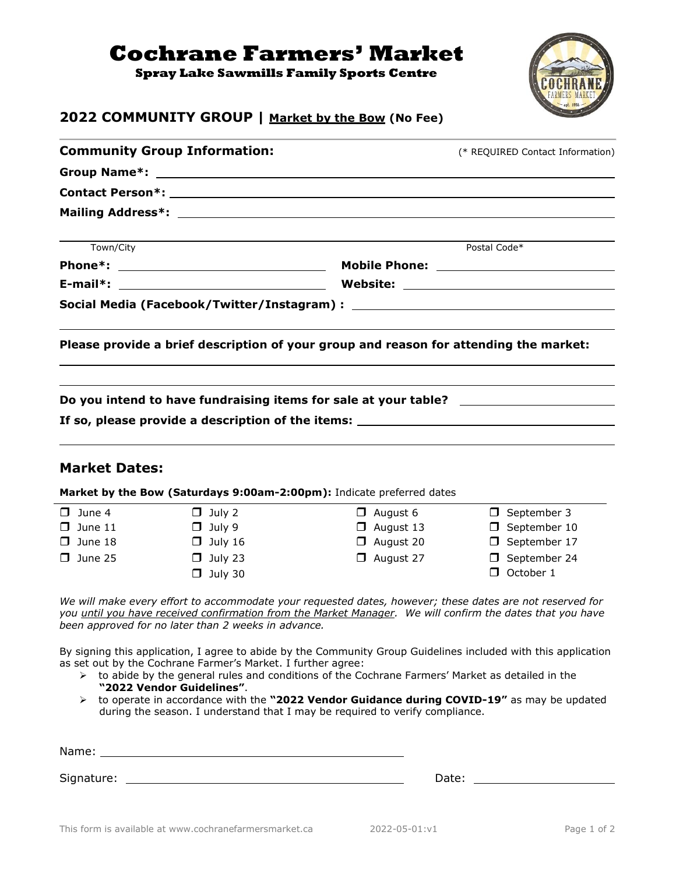## **Cochrane Farmers' Market**

**Spray Lake Sawmills Family Sports Centre**



## **2022 COMMUNITY GROUP | Market by the Bow (No Fee)**

|                                                                                                                                              |                  | (* REQUIRED Contact Information) |  |  |
|----------------------------------------------------------------------------------------------------------------------------------------------|------------------|----------------------------------|--|--|
|                                                                                                                                              |                  |                                  |  |  |
|                                                                                                                                              |                  |                                  |  |  |
|                                                                                                                                              |                  |                                  |  |  |
| Town/City                                                                                                                                    |                  | Postal Code*                     |  |  |
|                                                                                                                                              |                  |                                  |  |  |
|                                                                                                                                              |                  |                                  |  |  |
|                                                                                                                                              |                  |                                  |  |  |
| Please provide a brief description of your group and reason for attending the market:                                                        |                  |                                  |  |  |
| Do you intend to have fundraising items for sale at your table? ________________<br>If so, please provide a description of the items: $\_\_$ |                  |                                  |  |  |
| <b>Market Dates:</b>                                                                                                                         |                  |                                  |  |  |
|                                                                                                                                              |                  |                                  |  |  |
| Market by the Bow (Saturdays 9:00am-2:00pm): Indicate preferred dates                                                                        |                  |                                  |  |  |
| $\Box$ July 2                                                                                                                                | $\Box$ August 6  | $\Box$ September 3               |  |  |
| $\Box$ July 9                                                                                                                                | $\Box$ August 13 | $\Box$ September 10              |  |  |
| $\Box$ July 16                                                                                                                               | $\Box$ August 20 | □ September 17                   |  |  |
| $\Box$ July 23                                                                                                                               | $\Box$ August 27 | □ September 24                   |  |  |
| $\Box$ June 4<br>$\Box$ June 11<br>$\Box$ June 18<br>$\Box$ June 25<br>$\Box$ July 30                                                        |                  | $\Box$ October 1                 |  |  |

By signing this application, I agree to abide by the Community Group Guidelines included with this application as set out by the Cochrane Farmer's Market. I further agree:

- ➢ to abide by the general rules and conditions of the Cochrane Farmers' Market as detailed in the **"2022 Vendor Guidelines"**.
- ➢ to operate in accordance with the **"2022 Vendor Guidance during COVID-19"** as may be updated during the season. I understand that I may be required to verify compliance.

| Name: |  |  |  |
|-------|--|--|--|
|       |  |  |  |

Signature: No. 2016. The Signature: No. 2016. The Date: Date: Date: Date: Date: Date: Date: Date: Date: Date: Date: Date: Date: Date: Date: Date: Date: Date: Date: Date: Date: Date: Date: Date: Date: Date: Date: Date: Date